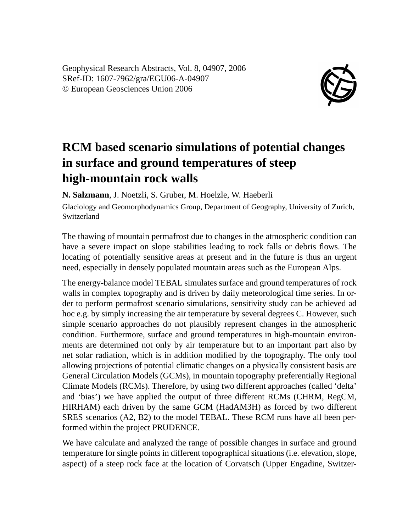Geophysical Research Abstracts, Vol. 8, 04907, 2006 SRef-ID: 1607-7962/gra/EGU06-A-04907 © European Geosciences Union 2006



## **RCM based scenario simulations of potential changes in surface and ground temperatures of steep high-mountain rock walls**

**N. Salzmann**, J. Noetzli, S. Gruber, M. Hoelzle, W. Haeberli

Glaciology and Geomorphodynamics Group, Department of Geography, University of Zurich, Switzerland

The thawing of mountain permafrost due to changes in the atmospheric condition can have a severe impact on slope stabilities leading to rock falls or debris flows. The locating of potentially sensitive areas at present and in the future is thus an urgent need, especially in densely populated mountain areas such as the European Alps.

The energy-balance model TEBAL simulates surface and ground temperatures of rock walls in complex topography and is driven by daily meteorological time series. In order to perform permafrost scenario simulations, sensitivity study can be achieved ad hoc e.g. by simply increasing the air temperature by several degrees C. However, such simple scenario approaches do not plausibly represent changes in the atmospheric condition. Furthermore, surface and ground temperatures in high-mountain environments are determined not only by air temperature but to an important part also by net solar radiation, which is in addition modified by the topography. The only tool allowing projections of potential climatic changes on a physically consistent basis are General Circulation Models (GCMs), in mountain topography preferentially Regional Climate Models (RCMs). Therefore, by using two different approaches (called 'delta' and 'bias') we have applied the output of three different RCMs (CHRM, RegCM, HIRHAM) each driven by the same GCM (HadAM3H) as forced by two different SRES scenarios (A2, B2) to the model TEBAL. These RCM runs have all been performed within the project PRUDENCE.

We have calculate and analyzed the range of possible changes in surface and ground temperature for single points in different topographical situations (i.e. elevation, slope, aspect) of a steep rock face at the location of Corvatsch (Upper Engadine, Switzer